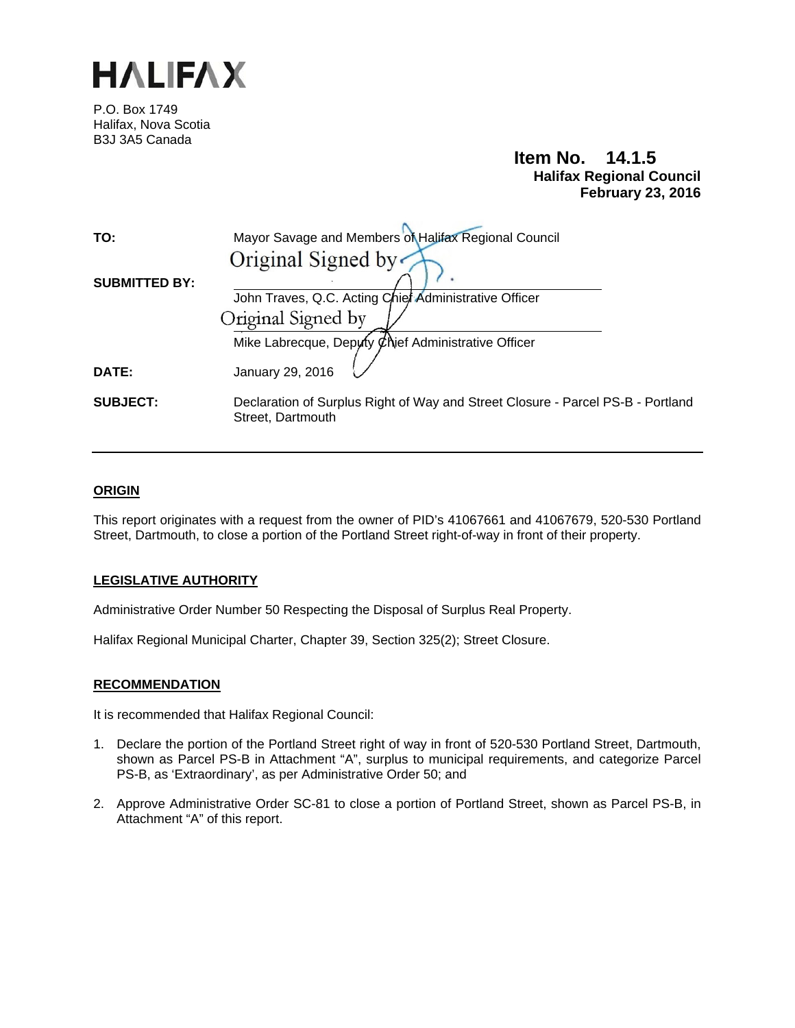

P.O. Box 1749 Halifax, Nova Scotia B3J 3A5 Canada

## **Item No. 14.1.5 Halifax Regional Council February 23, 2016**

| TO:                  | Mayor Savage and Members of Halifax Regional Council                                                 |
|----------------------|------------------------------------------------------------------------------------------------------|
|                      | Original Signed by                                                                                   |
| <b>SUBMITTED BY:</b> | John Traves, Q.C. Acting Chief Administrative Officer                                                |
|                      | Original Signed by                                                                                   |
|                      | Mike Labrecque, Deputy Chief Administrative Officer                                                  |
| DATE:                | January 29, 2016                                                                                     |
| <b>SUBJECT:</b>      | Declaration of Surplus Right of Way and Street Closure - Parcel PS-B - Portland<br>Street, Dartmouth |

## **ORIGIN**

This report originates with a request from the owner of PID's 41067661 and 41067679, 520-530 Portland Street, Dartmouth, to close a portion of the Portland Street right-of-way in front of their property.

## **LEGISLATIVE AUTHORITY**

Administrative Order Number 50 Respecting the Disposal of Surplus Real Property.

Halifax Regional Municipal Charter, Chapter 39, Section 325(2); Street Closure.

### **RECOMMENDATION**

It is recommended that Halifax Regional Council:

- 1. Declare the portion of the Portland Street right of way in front of 520-530 Portland Street, Dartmouth, shown as Parcel PS-B in Attachment "A", surplus to municipal requirements, and categorize Parcel PS-B, as 'Extraordinary', as per Administrative Order 50; and
- 2. Approve Administrative Order SC-81 to close a portion of Portland Street, shown as Parcel PS-B, in Attachment "A" of this report.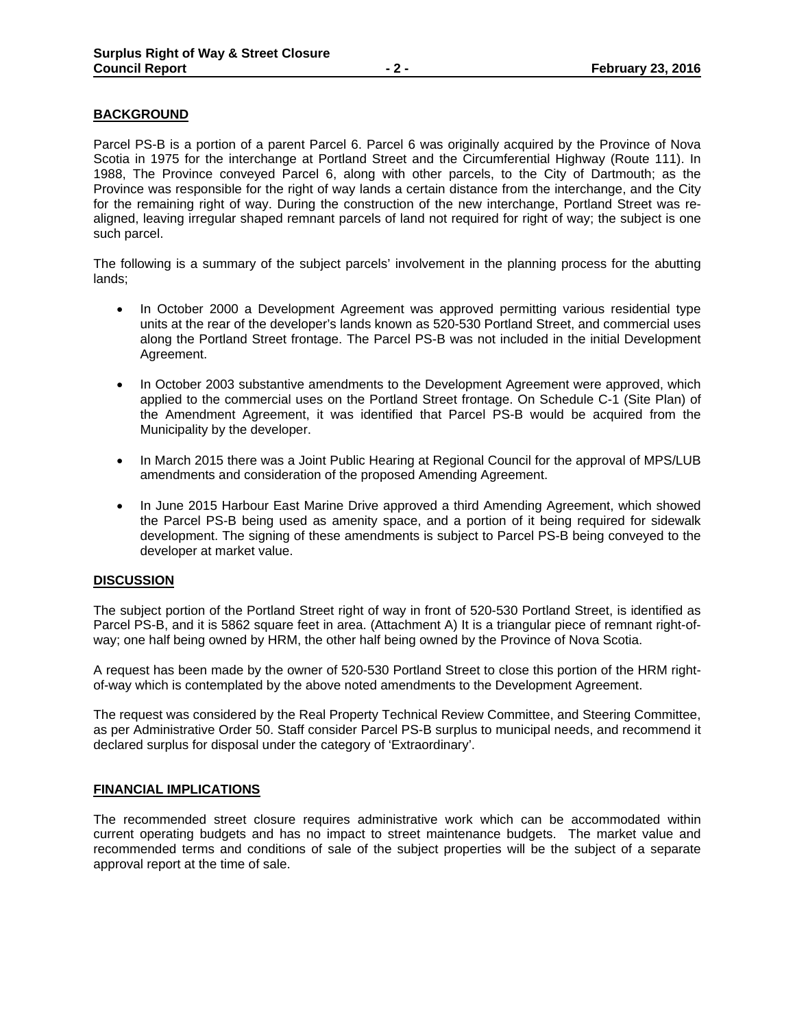## **BACKGROUND**

Parcel PS-B is a portion of a parent Parcel 6. Parcel 6 was originally acquired by the Province of Nova Scotia in 1975 for the interchange at Portland Street and the Circumferential Highway (Route 111). In 1988, The Province conveyed Parcel 6, along with other parcels, to the City of Dartmouth; as the Province was responsible for the right of way lands a certain distance from the interchange, and the City for the remaining right of way. During the construction of the new interchange, Portland Street was realigned, leaving irregular shaped remnant parcels of land not required for right of way; the subject is one such parcel.

The following is a summary of the subject parcels' involvement in the planning process for the abutting lands;

- In October 2000 a Development Agreement was approved permitting various residential type units at the rear of the developer's lands known as 520-530 Portland Street, and commercial uses along the Portland Street frontage. The Parcel PS-B was not included in the initial Development Agreement.
- In October 2003 substantive amendments to the Development Agreement were approved, which applied to the commercial uses on the Portland Street frontage. On Schedule C-1 (Site Plan) of the Amendment Agreement, it was identified that Parcel PS-B would be acquired from the Municipality by the developer.
- In March 2015 there was a Joint Public Hearing at Regional Council for the approval of MPS/LUB amendments and consideration of the proposed Amending Agreement.
- In June 2015 Harbour East Marine Drive approved a third Amending Agreement, which showed the Parcel PS-B being used as amenity space, and a portion of it being required for sidewalk development. The signing of these amendments is subject to Parcel PS-B being conveyed to the developer at market value.

### **DISCUSSION**

The subject portion of the Portland Street right of way in front of 520-530 Portland Street, is identified as Parcel PS-B, and it is 5862 square feet in area. (Attachment A) It is a triangular piece of remnant right-ofway; one half being owned by HRM, the other half being owned by the Province of Nova Scotia.

A request has been made by the owner of 520-530 Portland Street to close this portion of the HRM rightof-way which is contemplated by the above noted amendments to the Development Agreement.

The request was considered by the Real Property Technical Review Committee, and Steering Committee, as per Administrative Order 50. Staff consider Parcel PS-B surplus to municipal needs, and recommend it declared surplus for disposal under the category of 'Extraordinary'.

### **FINANCIAL IMPLICATIONS**

The recommended street closure requires administrative work which can be accommodated within current operating budgets and has no impact to street maintenance budgets. The market value and recommended terms and conditions of sale of the subject properties will be the subject of a separate approval report at the time of sale.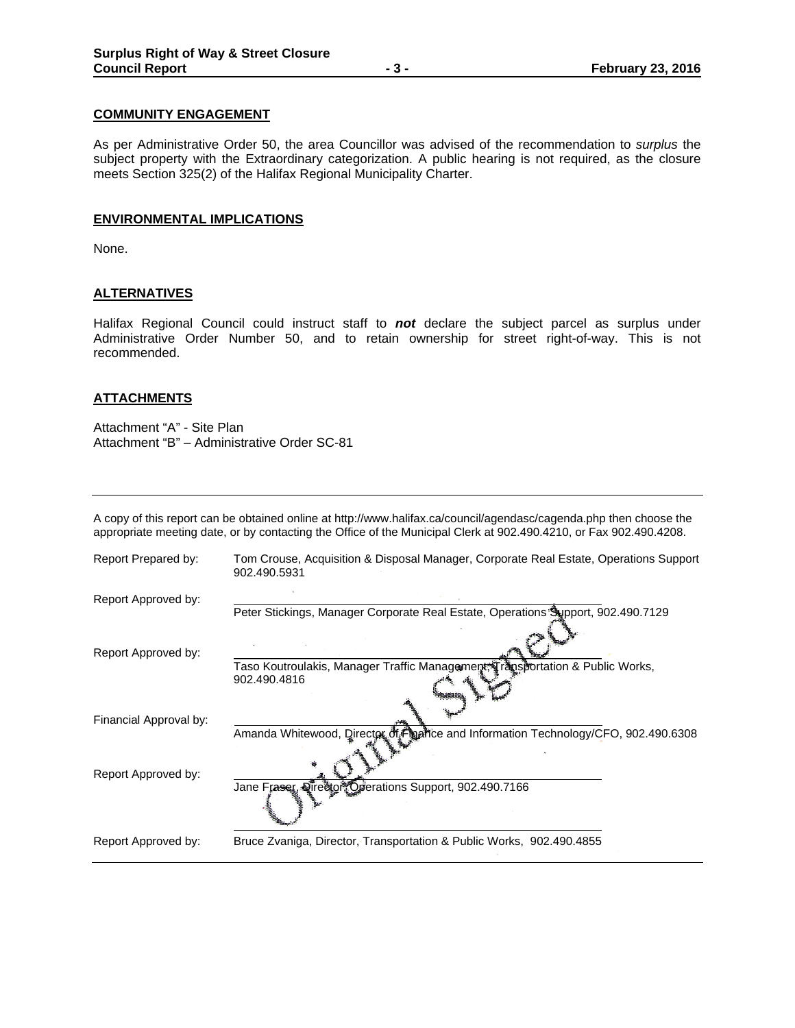## **COMMUNITY ENGAGEMENT**

As per Administrative Order 50, the area Councillor was advised of the recommendation to *surplus* the subject property with the Extraordinary categorization. A public hearing is not required, as the closure meets Section 325(2) of the Halifax Regional Municipality Charter.

#### **ENVIRONMENTAL IMPLICATIONS**

None.

## **ALTERNATIVES**

Halifax Regional Council could instruct staff to *not* declare the subject parcel as surplus under Administrative Order Number 50, and to retain ownership for street right-of-way. This is not recommended.

### **ATTACHMENTS**

Attachment "A" - Site Plan Attachment "B" – Administrative Order SC-81

A copy of this report can be obtained online at http://www.halifax.ca/council/agendasc/cagenda.php then choose the appropriate meeting date, or by contacting the Office of the Municipal Clerk at 902.490.4210, or Fax 902.490.4208.

| Report Prepared by:    | Tom Crouse, Acquisition & Disposal Manager, Corporate Real Estate, Operations Support<br>902.490.5931 |
|------------------------|-------------------------------------------------------------------------------------------------------|
| Report Approved by:    |                                                                                                       |
|                        | Peter Stickings, Manager Corporate Real Estate, Operations Support, 902.490.7129                      |
| Report Approved by:    |                                                                                                       |
|                        | Taso Koutroulakis, Manager Traffic Management; Transportation & Public Works,<br>902.490.4816         |
| Financial Approval by: |                                                                                                       |
|                        | Amanda Whitewood, Director of Figure and Information Technology/CFO, 902.490.6308                     |
| Report Approved by:    |                                                                                                       |
|                        | Jane Fraser, Oreetor, Operations Support, 902.490.7166                                                |
| Report Approved by:    | Bruce Zvaniga, Director, Transportation & Public Works, 902.490.4855                                  |
|                        |                                                                                                       |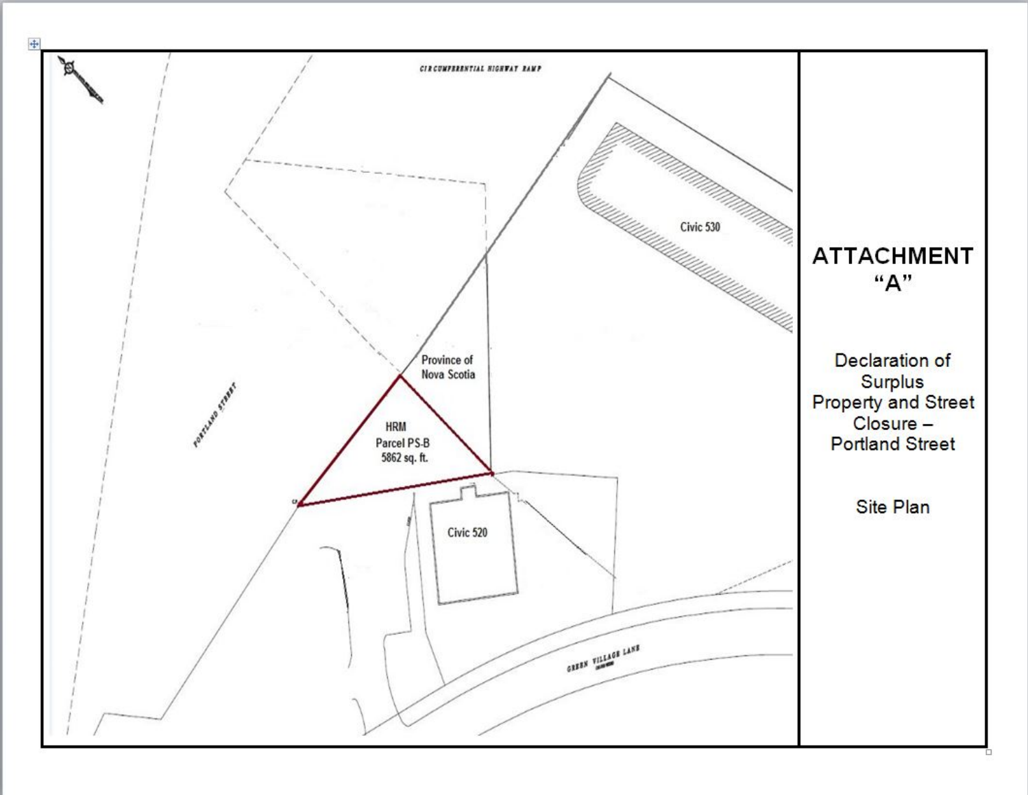